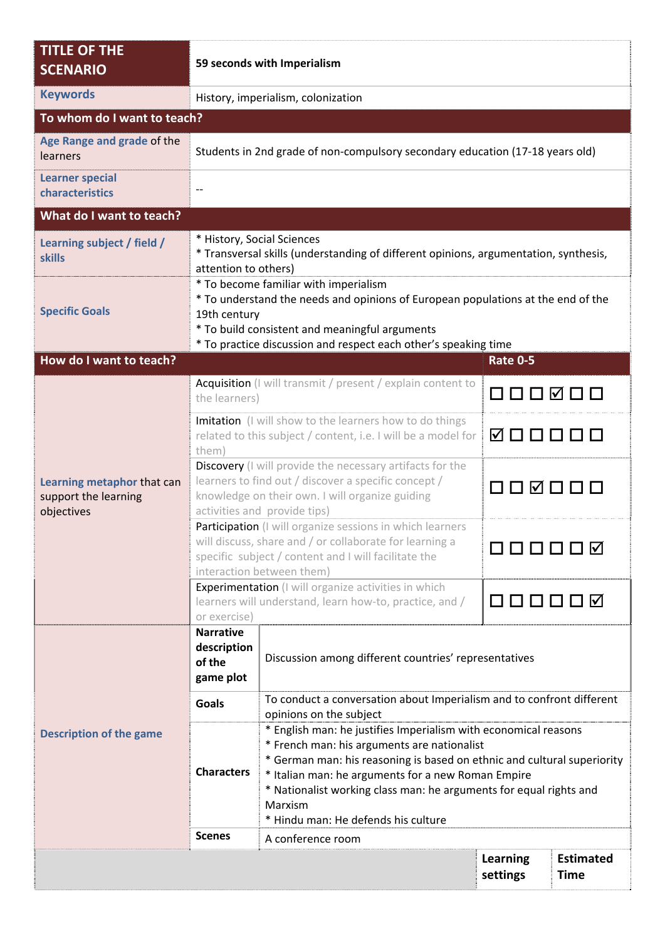| <b>TITLE OF THE</b><br><b>SCENARIO</b>                           |                                                                                                                                                                                                                                                                | 59 seconds with Imperialism                                                                                                                                                                                                                                                                                                                                             |                             |                                 |  |  |  |
|------------------------------------------------------------------|----------------------------------------------------------------------------------------------------------------------------------------------------------------------------------------------------------------------------------------------------------------|-------------------------------------------------------------------------------------------------------------------------------------------------------------------------------------------------------------------------------------------------------------------------------------------------------------------------------------------------------------------------|-----------------------------|---------------------------------|--|--|--|
| <b>Keywords</b>                                                  |                                                                                                                                                                                                                                                                | History, imperialism, colonization                                                                                                                                                                                                                                                                                                                                      |                             |                                 |  |  |  |
| To whom do I want to teach?                                      |                                                                                                                                                                                                                                                                |                                                                                                                                                                                                                                                                                                                                                                         |                             |                                 |  |  |  |
| Age Range and grade of the<br>learners                           | Students in 2nd grade of non-compulsory secondary education (17-18 years old)                                                                                                                                                                                  |                                                                                                                                                                                                                                                                                                                                                                         |                             |                                 |  |  |  |
| <b>Learner special</b><br>characteristics                        |                                                                                                                                                                                                                                                                |                                                                                                                                                                                                                                                                                                                                                                         |                             |                                 |  |  |  |
| What do I want to teach?                                         |                                                                                                                                                                                                                                                                |                                                                                                                                                                                                                                                                                                                                                                         |                             |                                 |  |  |  |
| Learning subject / field /<br><b>skills</b>                      | attention to others)                                                                                                                                                                                                                                           | * History, Social Sciences<br>* Transversal skills (understanding of different opinions, argumentation, synthesis,                                                                                                                                                                                                                                                      |                             |                                 |  |  |  |
| <b>Specific Goals</b>                                            | * To become familiar with imperialism<br>* To understand the needs and opinions of European populations at the end of the<br>19th century<br>* To build consistent and meaningful arguments<br>* To practice discussion and respect each other's speaking time |                                                                                                                                                                                                                                                                                                                                                                         |                             |                                 |  |  |  |
| How do I want to teach?                                          |                                                                                                                                                                                                                                                                |                                                                                                                                                                                                                                                                                                                                                                         | <b>Rate 0-5</b>             |                                 |  |  |  |
| Learning metaphor that can<br>support the learning<br>objectives | Acquisition (I will transmit / present / explain content to<br>the learners)                                                                                                                                                                                   |                                                                                                                                                                                                                                                                                                                                                                         | O O O Ø O O                 |                                 |  |  |  |
|                                                                  | Imitation (I will show to the learners how to do things<br>related to this subject / content, i.e. I will be a model for<br>them)                                                                                                                              |                                                                                                                                                                                                                                                                                                                                                                         | 000000                      |                                 |  |  |  |
|                                                                  | Discovery (I will provide the necessary artifacts for the<br>learners to find out / discover a specific concept /<br>knowledge on their own. I will organize guiding<br>activities and provide tips)                                                           |                                                                                                                                                                                                                                                                                                                                                                         | 000000                      |                                 |  |  |  |
|                                                                  |                                                                                                                                                                                                                                                                | Participation (I will organize sessions in which learners<br>will discuss, share and / or collaborate for learning a<br>specific subject / content and I will facilitate the<br>interaction between them)                                                                                                                                                               | <b>FIFIFI</b>               |                                 |  |  |  |
|                                                                  | Experimentation (I will organize activities in which<br>learners will understand, learn how-to, practice, and /<br>O O O O O Ø<br>or exercise)                                                                                                                 |                                                                                                                                                                                                                                                                                                                                                                         |                             |                                 |  |  |  |
| <b>Description of the game</b>                                   | <b>Narrative</b><br>description<br>of the<br>game plot                                                                                                                                                                                                         | Discussion among different countries' representatives                                                                                                                                                                                                                                                                                                                   |                             |                                 |  |  |  |
|                                                                  | <b>Goals</b>                                                                                                                                                                                                                                                   | To conduct a conversation about Imperialism and to confront different<br>opinions on the subject                                                                                                                                                                                                                                                                        |                             |                                 |  |  |  |
|                                                                  | <b>Characters</b>                                                                                                                                                                                                                                              | * English man: he justifies Imperialism with economical reasons<br>* French man: his arguments are nationalist<br>* German man: his reasoning is based on ethnic and cultural superiority<br>* Italian man: he arguments for a new Roman Empire<br>* Nationalist working class man: he arguments for equal rights and<br>Marxism<br>* Hindu man: He defends his culture |                             |                                 |  |  |  |
| <b>Scenes</b><br>A conference room                               |                                                                                                                                                                                                                                                                |                                                                                                                                                                                                                                                                                                                                                                         |                             |                                 |  |  |  |
|                                                                  |                                                                                                                                                                                                                                                                |                                                                                                                                                                                                                                                                                                                                                                         | <b>Learning</b><br>settings | <b>Estimated</b><br><b>Time</b> |  |  |  |